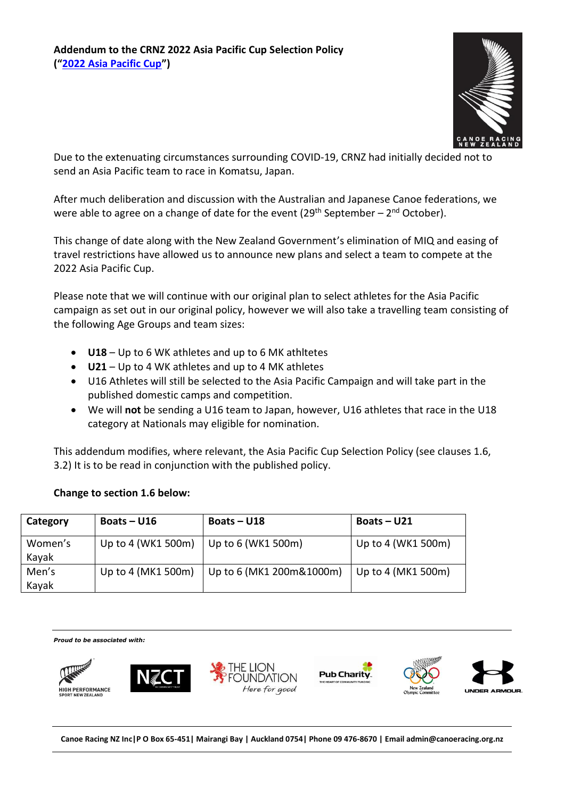

Due to the extenuating circumstances surrounding COVID-19, CRNZ had initially decided not to send an Asia Pacific team to race in Komatsu, Japan.

After much deliberation and discussion with the Australian and Japanese Canoe federations, we were able to agree on a change of date for the event (29<sup>th</sup> September – 2<sup>nd</sup> October).

This change of date along with the New Zealand Government's elimination of MIQ and easing of travel restrictions have allowed us to announce new plans and select a team to compete at the 2022 Asia Pacific Cup.

Please note that we will continue with our original plan to select athletes for the Asia Pacific campaign as set out in our original policy, however we will also take a travelling team consisting of the following Age Groups and team sizes:

- **U18** Up to 6 WK athletes and up to 6 MK athltetes
- **U21** Up to 4 WK athletes and up to 4 MK athletes
- U16 Athletes will still be selected to the Asia Pacific Campaign and will take part in the published domestic camps and competition.
- We will **not** be sending a U16 team to Japan, however, U16 athletes that race in the U18 category at Nationals may eligible for nomination.

This addendum modifies, where relevant, the Asia Pacific Cup Selection Policy (see clauses 1.6, 3.2) It is to be read in conjunction with the published policy.

| Category         | Boats $-$ U16      | Boats $-$ U18            | Boats $-$ U21      |
|------------------|--------------------|--------------------------|--------------------|
| Women's<br>Kayak | Up to 4 (WK1 500m) | Up to 6 (WK1 500m)       | Up to 4 (WK1 500m) |
| Men's<br>Kayak   | Up to 4 (MK1 500m) | Up to 6 (MK1 200m&1000m) | Up to 4 (MK1 500m) |

## **Change to section 1.6 below:**

*Proud to be associated with:*













**Canoe Racing NZ Inc|P O Box 65-451| Mairangi Bay | Auckland 0754| Phone 09 476-8670 | Email admin@canoeracing.org.nz**